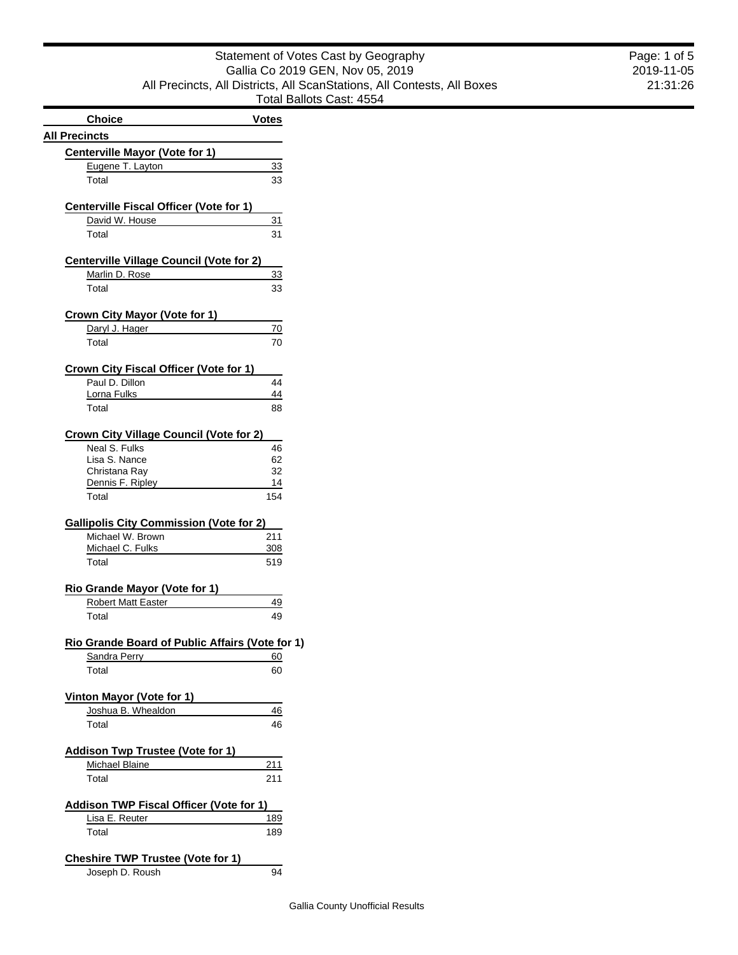| Statement of Votes Cast by Geography                                    |  |
|-------------------------------------------------------------------------|--|
| Gallia Co 2019 GEN, Nov 05, 2019                                        |  |
| All Precincts, All Districts, All ScanStations, All Contests, All Boxes |  |
| Total Ballots Cast: 4554                                                |  |
|                                                                         |  |

| <b>Choice</b>                                                     | <b>Votes</b> |
|-------------------------------------------------------------------|--------------|
| <b>All Precincts</b>                                              |              |
| <b>Centerville Mayor (Vote for 1)</b>                             |              |
| Eugene T. Layton                                                  | 33           |
| Total                                                             | 33           |
|                                                                   |              |
| <b>Centerville Fiscal Officer (Vote for 1)</b>                    |              |
| David W. House                                                    | 31           |
| Total                                                             | 31           |
|                                                                   |              |
| <b>Centerville Village Council (Vote for 2)</b><br>Marlin D. Rose | 33           |
| Total                                                             | 33           |
|                                                                   |              |
| <b>Crown City Mayor (Vote for 1)</b>                              |              |
| Daryl J. Hager                                                    | 70           |
| Total                                                             | 70           |
|                                                                   |              |
| Crown City Fiscal Officer (Vote for 1)<br>Paul D. Dillon          |              |
| Lorna Fulks                                                       | 44<br>44     |
| Total                                                             | 88           |
|                                                                   |              |
| <b>Crown City Village Council (Vote for 2)</b>                    |              |
| Neal S. Fulks                                                     | 46           |
| Lisa S. Nance                                                     | 62           |
| Christana Ray                                                     | 32           |
| Dennis F. Ripley<br>Total                                         | 14           |
|                                                                   | 154          |
| <b>Gallipolis City Commission (Vote for 2)</b>                    |              |
| Michael W. Brown<br>Michael C. Fulks                              | 211          |
| Total                                                             | 308<br>519   |
|                                                                   |              |
| <b>Rio Grande Mayor (Vote for 1)</b>                              |              |
| Robert Matt Easter                                                | 49           |
| Total                                                             | 49           |
|                                                                   |              |
| Rio Grande Board of Public Affairs (Vote for 1)<br>Sandra Perry   | 60           |
| Total                                                             | 60           |
|                                                                   |              |
| Vinton Mayor (Vote for 1)                                         |              |
| Joshua B. Whealdon                                                | 46           |
| Total                                                             | 46           |
|                                                                   |              |
| <b>Addison Twp Trustee (Vote for 1)</b>                           |              |
| Michael Blaine                                                    | 211          |
| Total                                                             | 211          |
| Addison TWP Fiscal Officer (Vote for 1)                           |              |
| Lisa E. Reuter                                                    | <u> 189</u>  |
| Total                                                             | 189          |
|                                                                   |              |
| <b>Cheshire TWP Trustee (Vote for 1)</b>                          |              |
| Joseph D. Roush                                                   | 94           |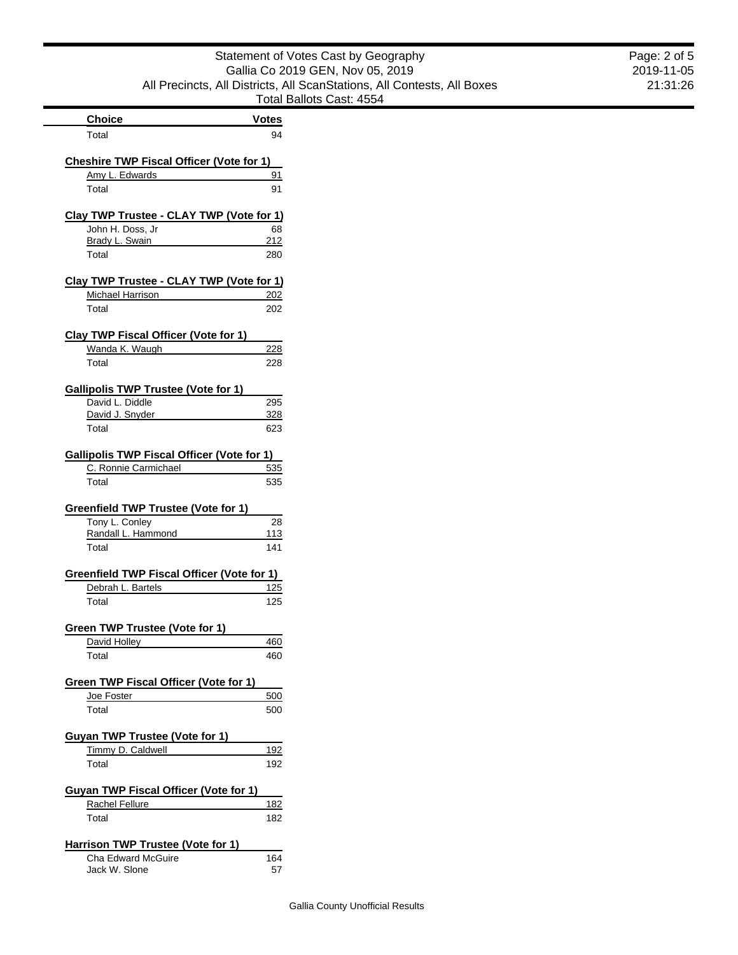| Statement of Votes Cast by Geography                                    |
|-------------------------------------------------------------------------|
| Gallia Co 2019 GEN, Nov 05, 2019                                        |
| All Precincts, All Districts, All ScanStations, All Contests, All Boxes |
| Total Ballots Cast: 4554                                                |

|                                                               | Total B           |
|---------------------------------------------------------------|-------------------|
| <b>Choice</b>                                                 | <b>Votes</b>      |
| Total                                                         | 94                |
| <b>Cheshire TWP Fiscal Officer (Vote for 1)</b>               |                   |
| Amy L. Edwards                                                | 91                |
| Total                                                         | 91                |
| Clay TWP Trustee - CLAY TWP (Vote for 1)                      |                   |
| John H. Doss, Jr                                              | 68                |
| Brady L. Swain                                                | 212               |
| Total                                                         | 280               |
| Clay TWP Trustee - CLAY TWP (Vote for 1)                      |                   |
| Michael Harrison                                              | <u>202</u>        |
| Total                                                         | 202               |
|                                                               |                   |
| <b>Clay TWP Fiscal Officer (Vote for 1)</b><br>Wanda K. Waugh | 228               |
|                                                               |                   |
| Total                                                         | 228               |
| <b>Gallipolis TWP Trustee (Vote for 1)</b>                    |                   |
| David L. Diddle                                               | 295               |
| David J. Snyder                                               | 328               |
| Total                                                         | 623               |
| <b>Gallipolis TWP Fiscal Officer (Vote for 1)</b>             |                   |
| C. Ronnie Carmichael                                          | 535               |
| Total                                                         | 535               |
| Greenfield TWP Trustee (Vote for 1)                           |                   |
| Tony L. Conley                                                | 28                |
| Randall L. Hammond                                            | 113               |
| Total                                                         | 141               |
| Greenfield TWP Fiscal Officer (Vote for 1)                    |                   |
| Debrah L. Bartels                                             | 125               |
| Total                                                         | 125               |
|                                                               |                   |
| Green TWP Trustee (Vote for 1)                                |                   |
| David Holley<br>Total                                         | <u>460</u><br>460 |
|                                                               |                   |
| Green TWP Fiscal Officer (Vote for 1)                         |                   |
| Joe Foster                                                    | 500               |
| Total                                                         | 500               |
| <b>Guyan TWP Trustee (Vote for 1)</b>                         |                   |
| Timmy D. Caldwell                                             | 192               |
| Total                                                         | 192               |
| Guyan TWP Fiscal Officer (Vote for 1)                         |                   |
| Rachel Fellure                                                | 182               |
| Total                                                         | 182               |
|                                                               |                   |
| <b>Harrison TWP Trustee (Vote for 1)</b>                      |                   |
| Cha Edward McGuire                                            | 164               |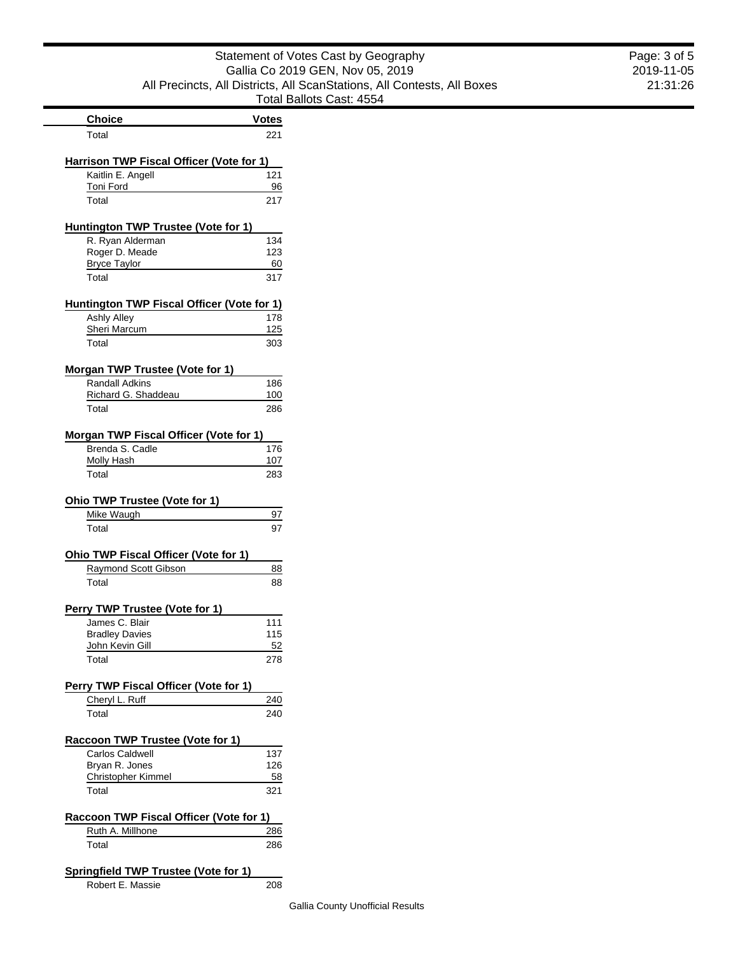#### Statement of Votes Cast by Geography Gallia Co 2019 GEN, Nov 05, 2019 All Precincts, All Districts, All ScanStations, All Contests, All Boxes Ballots Cast: 4554

|                                                               | I otal       |
|---------------------------------------------------------------|--------------|
| <b>Choice</b>                                                 | <b>Votes</b> |
| Total                                                         | 221          |
|                                                               |              |
| Harrison TWP Fiscal Officer (Vote for 1)<br>Kaitlin E. Angell | 121          |
| Toni Ford                                                     | 96           |
| Total                                                         | 217          |
|                                                               |              |
| Huntington TWP Trustee (Vote for 1)                           |              |
| R. Ryan Alderman<br>Roger D. Meade                            | 134<br>123   |
| <b>Bryce Taylor</b>                                           | 60           |
| Total                                                         | 317          |
|                                                               |              |
| <b>Huntington TWP Fiscal Officer (Vote for 1)</b>             |              |
| <b>Ashly Alley</b>                                            | 178          |
| <b>Sheri Marcum</b><br>Total                                  | 125<br>303   |
|                                                               |              |
| Morgan TWP Trustee (Vote for 1)                               |              |
| <b>Randall Adkins</b>                                         | 186          |
| Richard G. Shaddeau                                           | 100          |
| Total                                                         | 286          |
| Morgan TWP Fiscal Officer (Vote for 1)                        |              |
| Brenda S. Cadle                                               | 176          |
| Molly Hash                                                    | 107          |
| Total                                                         | 283          |
| Ohio TWP Trustee (Vote for 1)                                 |              |
| Mike Waugh                                                    | 97           |
| Total                                                         | 97           |
| Ohio TWP Fiscal Officer (Vote for 1)                          |              |
| Raymond Scott Gibson                                          | 88           |
| Total                                                         | 88           |
|                                                               |              |
| Perry TWP Trustee (Vote for 1)                                |              |
| James C. Blair                                                | 111          |
| <b>Bradley Davies</b>                                         | 115          |
| <u>John Kevin Gill</u><br>Total                               | 52           |
|                                                               | 278          |
| Perry TWP Fiscal Officer (Vote for 1)                         |              |
| Cheryl L. Ruff                                                | 240          |
| Total                                                         | 240          |
| <b>Raccoon TWP Trustee (Vote for 1)</b>                       |              |
| Carlos Caldwell                                               | 137          |
| Bryan R. Jones                                                | 126          |
| Christopher Kimmel                                            | 58           |
| Total                                                         | 321          |
| Raccoon TWP Fiscal Officer (Vote for 1)                       |              |
| Ruth A. Millhone                                              | 286          |
| Total                                                         | 286          |
|                                                               |              |
| Springfield TWP Trustee (Vote for 1)                          |              |

Robert E. Massie 208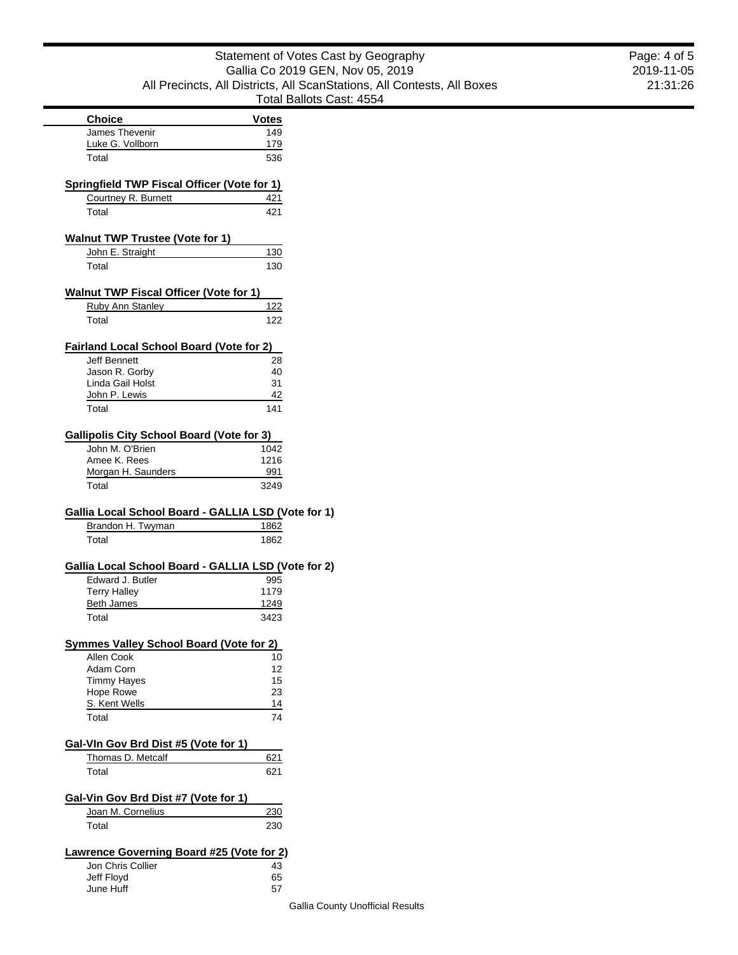| Statement of Votes Cast by Geography                                    |
|-------------------------------------------------------------------------|
| Gallia Co 2019 GEN, Nov 05, 2019                                        |
| All Precincts, All Districts, All ScanStations, All Contests, All Boxes |
| Total Ballots Cast: 4554                                                |

|                                                                         | Total Ballots Ca |  |
|-------------------------------------------------------------------------|------------------|--|
| <b>Choice</b>                                                           | <b>Votes</b>     |  |
| James Thevenir                                                          | 149              |  |
| Luke G. Vollborn                                                        | 179              |  |
| Total                                                                   | 536              |  |
| <b>Springfield TWP Fiscal Officer (Vote for 1)</b>                      |                  |  |
| Courtney R. Burnett                                                     | 421              |  |
| Total                                                                   | 421              |  |
|                                                                         |                  |  |
| <b>Walnut TWP Trustee (Vote for 1)</b>                                  |                  |  |
| John E. Straight                                                        | 130              |  |
| Total                                                                   | 130              |  |
| <b>Walnut TWP Fiscal Officer (Vote for 1)</b>                           |                  |  |
| <b>Ruby Ann Stanley</b>                                                 | <u>122</u>       |  |
| Total                                                                   | 122              |  |
|                                                                         |                  |  |
| <b>Fairland Local School Board (Vote for 2)</b>                         |                  |  |
| <b>Jeff Bennett</b>                                                     | 28               |  |
| Jason R. Gorby                                                          | 40               |  |
| Linda Gail Holst                                                        | 31               |  |
| John P. Lewis<br>Total                                                  | 42<br>141        |  |
|                                                                         |                  |  |
| <b>Gallipolis City School Board (Vote for 3)</b>                        |                  |  |
| John M. O'Brien                                                         | 1042             |  |
| Amee K. Rees                                                            | 1216             |  |
| Morgan H. Saunders                                                      | 991              |  |
| Total                                                                   | 3249             |  |
| Gallia Local School Board - GALLIA LSD (Vote for 1)                     |                  |  |
| Brandon H. Twyman                                                       | 1862             |  |
| Total                                                                   | 1862             |  |
|                                                                         |                  |  |
| Gallia Local School Board - GALLIA LSD (Vote for 2)<br>Edward J. Butler | 995              |  |
| <b>Terry Halley</b>                                                     | 1179             |  |
| <b>Beth James</b>                                                       | 1249             |  |
| Total                                                                   | 3423             |  |
|                                                                         |                  |  |
| <b>Symmes Valley School Board (Vote for 2)</b><br>Allen Cook            |                  |  |
| Adam Corn                                                               | 10<br>12         |  |
| <b>Timmy Hayes</b>                                                      | 15               |  |
| Hope Rowe                                                               | 23               |  |
| S. Kent Wells                                                           | 14               |  |
| Total                                                                   | 74               |  |
|                                                                         |                  |  |
| Gal-VIn Gov Brd Dist #5 (Vote for 1)                                    |                  |  |
| Thomas D. Metcalf                                                       | 621              |  |
| Total                                                                   | 621              |  |
| Gal-Vin Gov Brd Dist #7 (Vote for 1)                                    |                  |  |
| Joan M. Cornelius                                                       | 230              |  |
| Total                                                                   | 230              |  |
| Lawrence Governing Board #25 (Vote for 2)                               |                  |  |
| Jon Chris Collier                                                       | 43               |  |
|                                                                         |                  |  |
|                                                                         |                  |  |
| Jeff Floyd<br>June Huff                                                 | 65<br>57         |  |

 $\blacksquare$  $\overline{\phantom{a}}$